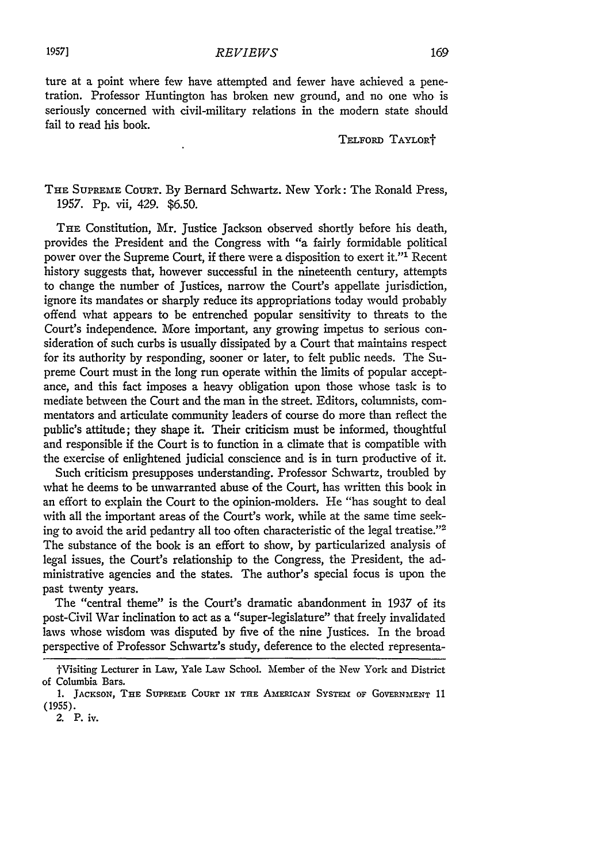ture at a point where few have attempted and fewer have achieved a penetration. Professor Huntington has broken new ground, and no one **who** is seriously concerned with civil-military relations in the modern state should fail to read his book.

TELFORD **TAYLoRt**

## THE SUPREME COURT. By Bernard Schwartz. New York: The Ronald Press, 1957. Pp. vii, 429. \$6.50.

THE Constitution, Mr. Justice Jackson observed shortly before his death, provides the President and the Congress with "a fairly formidable political power over the Supreme Court, if there were a disposition to exert **it."1** Recent history suggests that, however successful in the nineteenth century, attempts to change the number of Justices, narrow the Court's appellate jurisdiction, ignore its mandates or sharply reduce its appropriations today would probably offend what appears to be entrenched popular sensitivity to threats to the Court's independence. More important, any growing impetus to serious consideration of such curbs is usually dissipated by a Court that maintains respect for its authority by responding, sooner or later, to felt public needs. The Supreme Court must in the long run operate within the limits of popular acceptance, and this fact imposes a heavy obligation upon those whose task is to mediate between the Court and the man in the street. Editors, columnists, commentators and articulate community leaders of course do more than reflect the public's attitude; they shape it. Their criticism must be informed, thoughtful and responsible if the Court is to function in a climate that is compatible with the exercise of enlightened judicial conscience and is in turn productive of it.

Such criticism presupposes understanding. Professor Schwartz, troubled by what he deems to be unwarranted abuse of the Court, has written this book in an effort to explain the Court to the opinion-molders. He "has sought to deal with all the important areas of the Court's work, while at the same time seeking to avoid the arid pedantry all too often characteristic of the legal treatise."<sup>2</sup> The substance of the book is an effort to show, by particularized analysis of legal issues, the Court's relationship to the Congress, the President, the administrative agencies and the states. The author's special focus is upon the past twenty years.

The "central theme" is the Court's dramatic abandonment in 1937 of its post-Civil War inclination to act as a "super-legislature" that freely invalidated laws whose wisdom was disputed by five of the nine Justices. In the broad perspective of Professor Schwartz's study, deference to the elected representa-

tVisiting Lecturer in Law, Yale Law School. Member of the New York and District of Columbia Bars.

<sup>1.</sup> JACKSON, THE SUPREME COURT IN THE AMERICAN SYSTEM OF GOVERNMENT 11 (1955).

<sup>2.</sup> **P.** iv.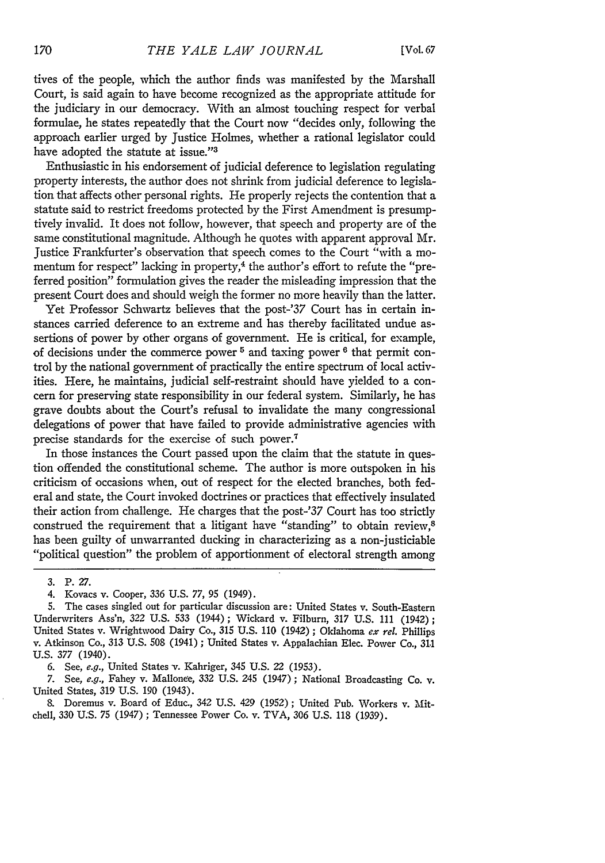tives of the people, which the author finds was manifested **by** the Marshall Court, is said again to have become recognized as the appropriate attitude for the judiciary in our democracy. With an almost touching respect for verbal formulae, he states repeatedly that the Court now "decides only, following the approach earlier urged by Justice Holmes, whether a rational legislator could have adopted the statute at issue."<sup>3</sup>

Enthusiastic in his endorsement of judicial deference to legislation regulating property interests, the author does not shrink from judicial deference to legislation that affects other personal rights. He properly rejects the contention that a statute said to restrict freedoms protected **by** the First Amendment is presumptively invalid. It does not follow, however, that speech and property are of the same constitutional magnitude. Although he quotes with apparent approval Mr. Justice Frankfurter's observation that speech comes to the Court "with a momentum for respect" lacking in property, $4$  the author's effort to refute the "preferred position" formulation gives the reader the misleading impression that the present Court does and should weigh the former no more heavily than the latter.

Yet Professor Schwartz believes that the post-'37 Court has in certain instances carried deference to an extreme and has thereby facilitated undue assertions of power by other organs of government. He is critical, for example, of decisions under the commerce power 5 and taxing power **6** that permit control by the national government of practically the entire spectrum of local activities. Here, he maintains, judicial self-restraint should have yielded to a concern for preserving state responsibility in our federal system. Similarly, he has grave doubts about the Court's refusal to invalidate the many congressional delegations of power that have failed to provide administrative agencies with precise standards for the exercise of such power.<sup>7</sup>

In those instances the Court passed upon the claim that the statute in question offended the constitutional scheme. The author is more outspoken in his criticism of occasions when, out of respect for the elected branches, both federal and state, the Court invoked doctrines or practices that effectively insulated their action from challenge. He charges that the post-'37 Court has too strictly construed the requirement that a litigant have "standing" to obtain review,<sup>8</sup> has been guilty of unwarranted ducking in characterizing as a non-justiciable "political question" the problem of apportionment of electoral strength among

6. See, e.g., United States v. Kahriger, 345 U.S. 22 (1953).

7. See, e.g., Fahey v. Mallonee, 332 U.S. 245 (1947); National Broadcasting Co. v. United States, 319 U.S. 190 (1943).

8. Doremus v. Board of Educ., 342 U.S. 429 (1952); United Pub. Workers v. Mitchell, 330 U.S. 75 (1947); Tennessee Power Co. v. TVA, 306 U.S. 118 (1939).

**<sup>3.</sup>** P. **27.**

<sup>4.</sup> Kovacs v. Cooper, 336 U.S. 77, 95 (1949).

<sup>5.</sup> The cases singled out for particular discussion are: United States v. South-Eastern Undervriters Ass'n, 322 U.S. 533 (1944); Wickard v. Filburn, 317 U.S. 111 (1942); United States v. Wrightwood Dairy Co., 315 U.S. 110 (1942); Oklahoma ex rel. Phillips v. Atkinson Co., 313 U.S. 508 (1941) ; United States v. Appalachian Elec. Power Co., 31.1 U.S. 377 (1940).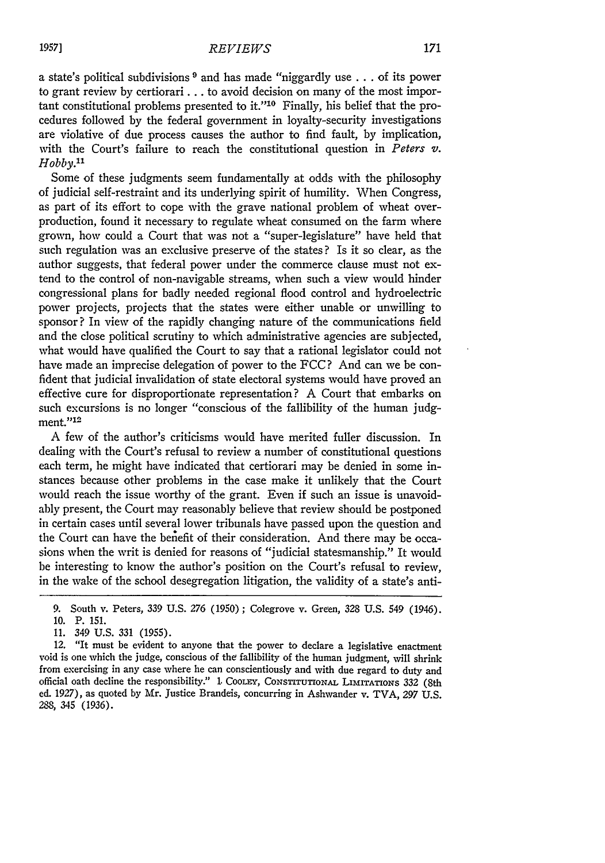a state's political subdivisions **9** and has made "niggardly use **...** of its power to grant review by certiorari.., to avoid decision on many of the most important constitutional problems presented to it." $10$ <sup>10</sup> Finally, his belief that the procedures followed by the federal government in loyalty-security investigations are violative of due process causes the author to find fault, by implication, with the Court's failure to reach the constitutional question in *Peters v. Hobby."*

Some of these judgments seem fundamentally at odds with the philosophy of judicial self-restraint and its underlying spirit of humility. When Congress, as part of its effort to cope with the grave national problem of wheat overproduction, found it necessary to regulate wheat consumed on the farm where grown, how could a Court that was not a "super-legislature" have held that such regulation was an exclusive preserve of the states? Is it so clear, as the author suggests, that federal power under the commerce clause must not extend to the control of non-navigable streams, when such a view would hinder congressional plans for badly needed regional flood control and hydroelectric power projects, projects that the states were either unable or unwilling to sponsor? In view of the rapidly changing nature of the communications field and the close political scrutiny to which administrative agencies are subjected, what would have qualified the Court to say that a rational legislator could not have made an imprecise delegation of power to the FCC? And can we be confident that judicial invalidation of state electoral systems would have proved an effective cure for disproportionate representation? A Court that embarks on such excursions is no longer "conscious of the fallibility of the human **judg**ment."<sup>12</sup>

A few of the author's criticisms would have merited fuller discussion. In dealing with the Court's refusal to review a number of constitutional questions each term, he might have indicated that certiorari may be denied in some instances because other problems in the case make it unlikely that the Court would reach the issue worthy of the grant. Even if such an issue is unavoidably present, the Court may reasonably believe that review should be postponed in certain cases until several lower tribunals have passed upon the question and the Court can have the benefit of their consideration. And there may be occasions when the writ is denied for reasons of "judicial statesmanship." It would be interesting to know the author's position on the Court's refusal to review, in the wake of the school desegregation litigation, the validity of a state's anti-

12. "It must be evident to anyone that the power to declare a legislative enactment void is one which the judge, conscious of the fallibility of the human judgment, will shrink from exercising in any case where he can conscientiously and with due regard to duty and official oath decline the responsibility." 1 COOLEY, CONSTITUTIONAL LIMITATIONS 332 (8th ed. 1927), as quoted by Mr. Justice Brandeis, concurring in Ashwander v. TVA, *297* U.S. 288, 345 (1936).

<sup>9.</sup> South v. Peters, 339 U.S. *276* (1950) ; Colegrove v. Green, 328 U.S. 549 (1946).

<sup>10.</sup> P. 151.

<sup>11. 349</sup> U.S. 331 (1955).